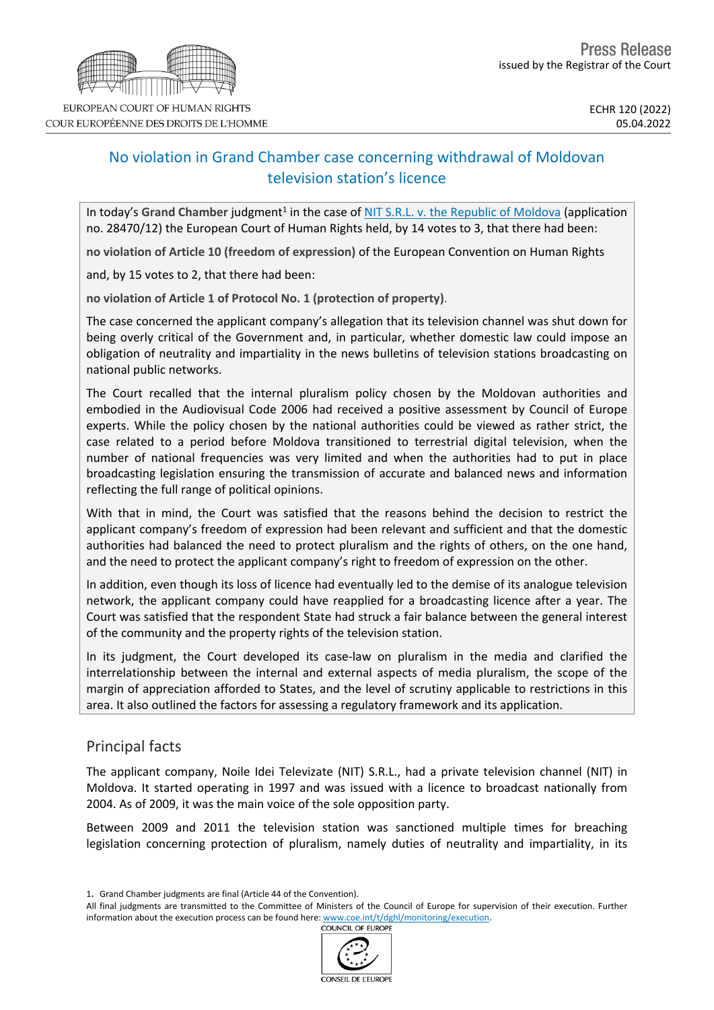# No violation in Grand Chamber case concerning withdrawal of Moldovan television station's licence

In today's Grand Chamber judgment<sup>1</sup> in the case of NIT S.R.L. v. the Republic of [Moldova](https://hudoc.echr.coe.int/eng?i=001-216872) (application no. 28470/12) the European Court of Human Rights held, by 14 votes to 3, that there had been:

**no violation of Article 10 (freedom of expression)** of the European Convention on Human Rights

and, by 15 votes to 2, that there had been:

**no violation of Article 1 of Protocol No. 1 (protection of property)**.

The case concerned the applicant company's allegation that its television channel was shut down for being overly critical of the Government and, in particular, whether domestic law could impose an obligation of neutrality and impartiality in the news bulletins of television stations broadcasting on national public networks.

The Court recalled that the internal pluralism policy chosen by the Moldovan authorities and embodied in the Audiovisual Code 2006 had received a positive assessment by Council of Europe experts. While the policy chosen by the national authorities could be viewed as rather strict, the case related to a period before Moldova transitioned to terrestrial digital television, when the number of national frequencies was very limited and when the authorities had to put in place broadcasting legislation ensuring the transmission of accurate and balanced news and information reflecting the full range of political opinions.

With that in mind, the Court was satisfied that the reasons behind the decision to restrict the applicant company's freedom of expression had been relevant and sufficient and that the domestic authorities had balanced the need to protect pluralism and the rights of others, on the one hand, and the need to protect the applicant company's right to freedom of expression on the other.

In addition, even though its loss of licence had eventually led to the demise of its analogue television network, the applicant company could have reapplied for a broadcasting licence after a year. The Court was satisfied that the respondent State had struck a fair balance between the general interest of the community and the property rights of the television station.

In its judgment, the Court developed its case-law on pluralism in the media and clarified the interrelationship between the internal and external aspects of media pluralism, the scope of the margin of appreciation afforded to States, and the level of scrutiny applicable to restrictions in this area. It also outlined the factors for assessing a regulatory framework and its application.

### Principal facts

The applicant company, Noile Idei Televizate (NIT) S.R.L., had a private television channel (NIT) in Moldova. It started operating in 1997 and was issued with a licence to broadcast nationally from 2004. As of 2009, it was the main voice of the sole opposition party.

Between 2009 and 2011 the television station was sanctioned multiple times for breaching legislation concerning protection of pluralism, namely duties of neutrality and impartiality, in its

All final judgments are transmitted to the Committee of Ministers of the Council of Europe for supervision of their execution. Further information about the execution process can be found here: [www.coe.int/t/dghl/monitoring/execution](http://www.coe.int/t/dghl/monitoring/execution).<br>COUNCIL OF EUROPE



<sup>1</sup>. Grand Chamber judgments are final (Article 44 of the Convention).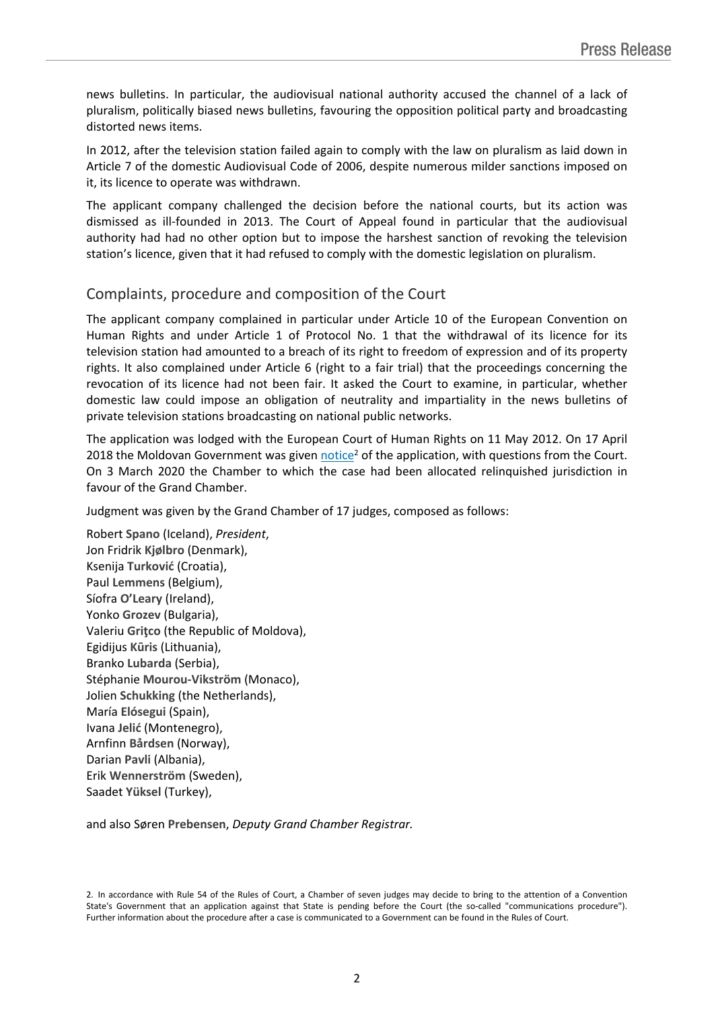news bulletins. In particular, the audiovisual national authority accused the channel of a lack of pluralism, politically biased news bulletins, favouring the opposition political party and broadcasting distorted news items.

In 2012, after the television station failed again to comply with the law on pluralism as laid down in Article 7 of the domestic Audiovisual Code of 2006, despite numerous milder sanctions imposed on it, its licence to operate was withdrawn.

The applicant company challenged the decision before the national courts, but its action was dismissed as ill-founded in 2013. The Court of Appeal found in particular that the audiovisual authority had had no other option but to impose the harshest sanction of revoking the television station's licence, given that it had refused to comply with the domestic legislation on pluralism.

## Complaints, procedure and composition of the Court

The applicant company complained in particular under Article 10 of the European Convention on Human Rights and under Article 1 of Protocol No. 1 that the withdrawal of its licence for its television station had amounted to a breach of its right to freedom of expression and of its property rights. It also complained under Article 6 (right to a fair trial) that the proceedings concerning the revocation of its licence had not been fair. It asked the Court to examine, in particular, whether domestic law could impose an obligation of neutrality and impartiality in the news bulletins of private television stations broadcasting on national public networks.

The application was lodged with the European Court of Human Rights on 11 May 2012. On 17 April 2018 the Moldovan Government was given [notice](http://hudoc.echr.coe.int/eng/?i=001-182894)<sup>2</sup> of the application, with questions from the Court. On 3 March 2020 the Chamber to which the case had been allocated relinquished jurisdiction in favour of the Grand Chamber.

Judgment was given by the Grand Chamber of 17 judges, composed as follows:

Robert **Spano** (Iceland), *President*, Jon Fridrik **Kjølbro** (Denmark), Ksenija **Turković** (Croatia), Paul **Lemmens** (Belgium), Síofra **O'Leary** (Ireland), Yonko **Grozev** (Bulgaria), Valeriu **Griţco** (the Republic of Moldova), Egidijus **Kūris** (Lithuania), Branko **Lubarda** (Serbia), Stéphanie **Mourou-Vikström** (Monaco), Jolien **Schukking** (the Netherlands), María **Elósegui** (Spain), Ivana **Jelić** (Montenegro), Arnfinn **Bårdsen** (Norway), Darian **Pavli** (Albania), Erik **Wennerström** (Sweden), Saadet **Yüksel** (Turkey),

and also Søren **Prebensen**, *Deputy Grand Chamber Registrar.*

<sup>2.</sup> In accordance with Rule 54 of the Rules of Court, a Chamber of seven judges may decide to bring to the attention of a Convention State's Government that an application against that State is pending before the Court (the so-called "communications procedure"). Further information about the procedure after a case is communicated to a Government can be found in the Rules of Court.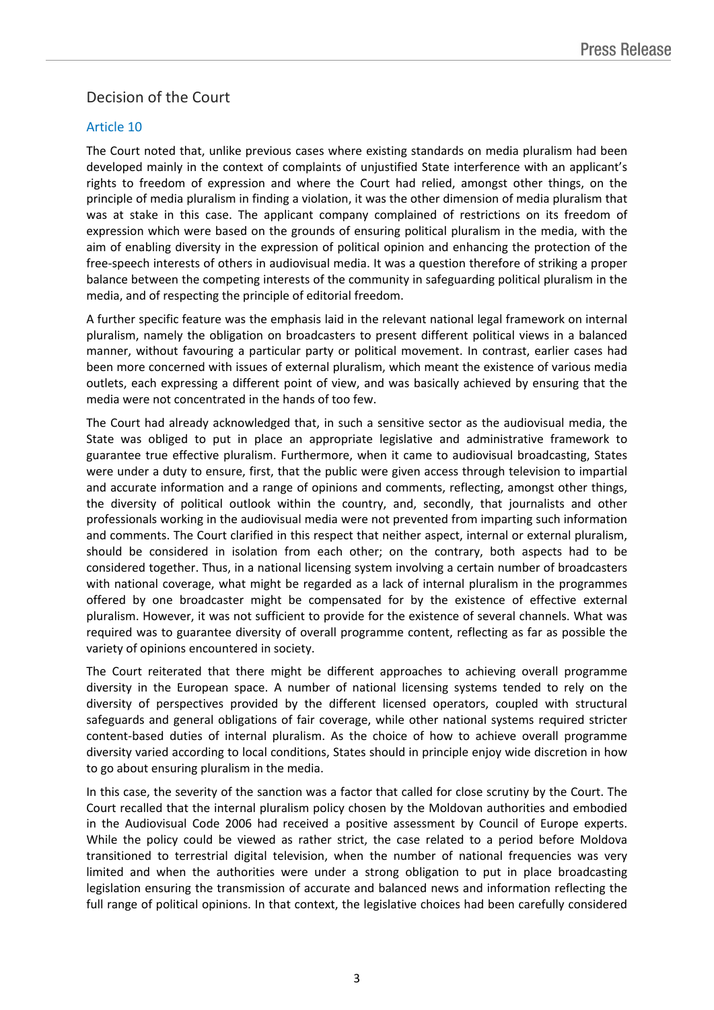## Decision of the Court

### Article 10

The Court noted that, unlike previous cases where existing standards on media pluralism had been developed mainly in the context of complaints of unjustified State interference with an applicant's rights to freedom of expression and where the Court had relied, amongst other things, on the principle of media pluralism in finding a violation, it was the other dimension of media pluralism that was at stake in this case. The applicant company complained of restrictions on its freedom of expression which were based on the grounds of ensuring political pluralism in the media, with the aim of enabling diversity in the expression of political opinion and enhancing the protection of the free-speech interests of others in audiovisual media. It was a question therefore of striking a proper balance between the competing interests of the community in safeguarding political pluralism in the media, and of respecting the principle of editorial freedom.

A further specific feature was the emphasis laid in the relevant national legal framework on internal pluralism, namely the obligation on broadcasters to present different political views in a balanced manner, without favouring a particular party or political movement. In contrast, earlier cases had been more concerned with issues of external pluralism, which meant the existence of various media outlets, each expressing a different point of view, and was basically achieved by ensuring that the media were not concentrated in the hands of too few.

The Court had already acknowledged that, in such a sensitive sector as the audiovisual media, the State was obliged to put in place an appropriate legislative and administrative framework to guarantee true effective pluralism. Furthermore, when it came to audiovisual broadcasting, States were under a duty to ensure, first, that the public were given access through television to impartial and accurate information and a range of opinions and comments, reflecting, amongst other things, the diversity of political outlook within the country, and, secondly, that journalists and other professionals working in the audiovisual media were not prevented from imparting such information and comments. The Court clarified in this respect that neither aspect, internal or external pluralism, should be considered in isolation from each other; on the contrary, both aspects had to be considered together. Thus, in a national licensing system involving a certain number of broadcasters with national coverage, what might be regarded as a lack of internal pluralism in the programmes offered by one broadcaster might be compensated for by the existence of effective external pluralism. However, it was not sufficient to provide for the existence of several channels. What was required was to guarantee diversity of overall programme content, reflecting as far as possible the variety of opinions encountered in society.

The Court reiterated that there might be different approaches to achieving overall programme diversity in the European space. A number of national licensing systems tended to rely on the diversity of perspectives provided by the different licensed operators, coupled with structural safeguards and general obligations of fair coverage, while other national systems required stricter content-based duties of internal pluralism. As the choice of how to achieve overall programme diversity varied according to local conditions, States should in principle enjoy wide discretion in how to go about ensuring pluralism in the media.

In this case, the severity of the sanction was a factor that called for close scrutiny by the Court. The Court recalled that the internal pluralism policy chosen by the Moldovan authorities and embodied in the Audiovisual Code 2006 had received a positive assessment by Council of Europe experts. While the policy could be viewed as rather strict, the case related to a period before Moldova transitioned to terrestrial digital television, when the number of national frequencies was very limited and when the authorities were under a strong obligation to put in place broadcasting legislation ensuring the transmission of accurate and balanced news and information reflecting the full range of political opinions. In that context, the legislative choices had been carefully considered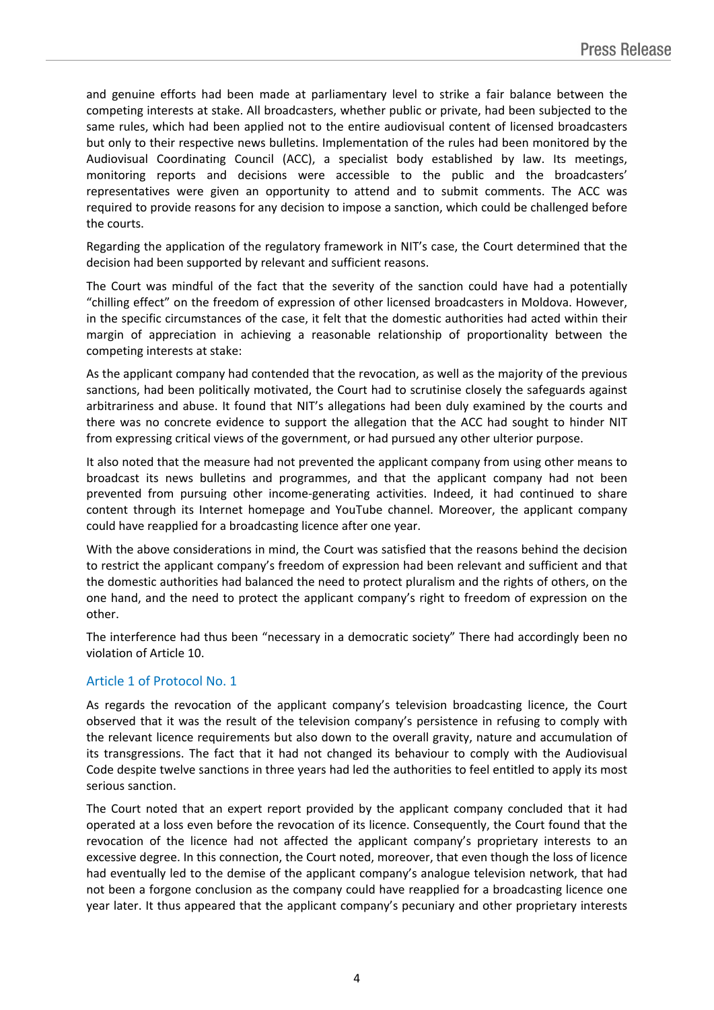and genuine efforts had been made at parliamentary level to strike a fair balance between the competing interests at stake. All broadcasters, whether public or private, had been subjected to the same rules, which had been applied not to the entire audiovisual content of licensed broadcasters but only to their respective news bulletins. Implementation of the rules had been monitored by the Audiovisual Coordinating Council (ACC), a specialist body established by law. Its meetings, monitoring reports and decisions were accessible to the public and the broadcasters' representatives were given an opportunity to attend and to submit comments. The ACC was required to provide reasons for any decision to impose a sanction, which could be challenged before the courts.

Regarding the application of the regulatory framework in NIT's case, the Court determined that the decision had been supported by relevant and sufficient reasons.

The Court was mindful of the fact that the severity of the sanction could have had a potentially "chilling effect" on the freedom of expression of other licensed broadcasters in Moldova. However, in the specific circumstances of the case, it felt that the domestic authorities had acted within their margin of appreciation in achieving a reasonable relationship of proportionality between the competing interests at stake:

As the applicant company had contended that the revocation, as well as the majority of the previous sanctions, had been politically motivated, the Court had to scrutinise closely the safeguards against arbitrariness and abuse. It found that NIT's allegations had been duly examined by the courts and there was no concrete evidence to support the allegation that the ACC had sought to hinder NIT from expressing critical views of the government, or had pursued any other ulterior purpose.

It also noted that the measure had not prevented the applicant company from using other means to broadcast its news bulletins and programmes, and that the applicant company had not been prevented from pursuing other income-generating activities. Indeed, it had continued to share content through its Internet homepage and YouTube channel. Moreover, the applicant company could have reapplied for a broadcasting licence after one year.

With the above considerations in mind, the Court was satisfied that the reasons behind the decision to restrict the applicant company's freedom of expression had been relevant and sufficient and that the domestic authorities had balanced the need to protect pluralism and the rights of others, on the one hand, and the need to protect the applicant company's right to freedom of expression on the other.

The interference had thus been "necessary in a democratic society" There had accordingly been no violation of Article 10.

#### Article 1 of Protocol No. 1

As regards the revocation of the applicant company's television broadcasting licence, the Court observed that it was the result of the television company's persistence in refusing to comply with the relevant licence requirements but also down to the overall gravity, nature and accumulation of its transgressions. The fact that it had not changed its behaviour to comply with the Audiovisual Code despite twelve sanctions in three years had led the authorities to feel entitled to apply its most serious sanction.

The Court noted that an expert report provided by the applicant company concluded that it had operated at a loss even before the revocation of its licence. Consequently, the Court found that the revocation of the licence had not affected the applicant company's proprietary interests to an excessive degree. In this connection, the Court noted, moreover, that even though the loss of licence had eventually led to the demise of the applicant company's analogue television network, that had not been a forgone conclusion as the company could have reapplied for a broadcasting licence one year later. It thus appeared that the applicant company's pecuniary and other proprietary interests